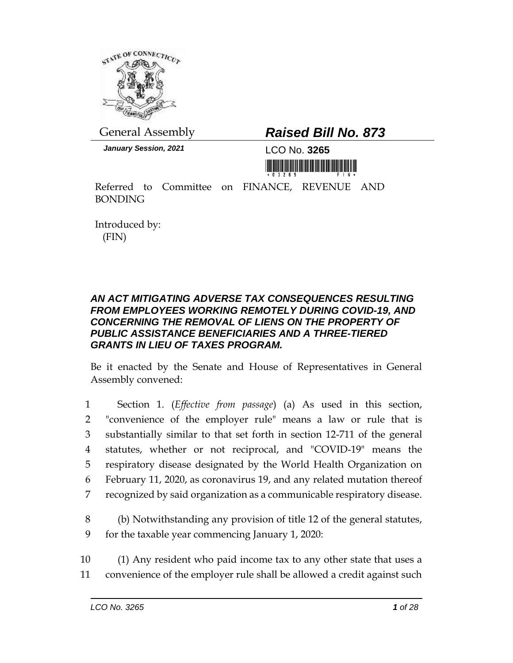

*January Session, 2021* LCO No. **3265**

# General Assembly *Raised Bill No. 873*

<u>ni koʻli koʻlingin bashlari mashlarida birilgi</u>

Referred to Committee on FINANCE, REVENUE AND BONDING

Introduced by: (FIN)

### *AN ACT MITIGATING ADVERSE TAX CONSEQUENCES RESULTING FROM EMPLOYEES WORKING REMOTELY DURING COVID-19, AND CONCERNING THE REMOVAL OF LIENS ON THE PROPERTY OF PUBLIC ASSISTANCE BENEFICIARIES AND A THREE-TIERED GRANTS IN LIEU OF TAXES PROGRAM.*

Be it enacted by the Senate and House of Representatives in General Assembly convened:

 Section 1. (*Effective from passage*) (a) As used in this section, "convenience of the employer rule" means a law or rule that is substantially similar to that set forth in section 12-711 of the general statutes, whether or not reciprocal, and "COVID-19" means the respiratory disease designated by the World Health Organization on February 11, 2020, as coronavirus 19, and any related mutation thereof recognized by said organization as a communicable respiratory disease.

- 8 (b) Notwithstanding any provision of title 12 of the general statutes, 9 for the taxable year commencing January 1, 2020:
- 10 (1) Any resident who paid income tax to any other state that uses a 11 convenience of the employer rule shall be allowed a credit against such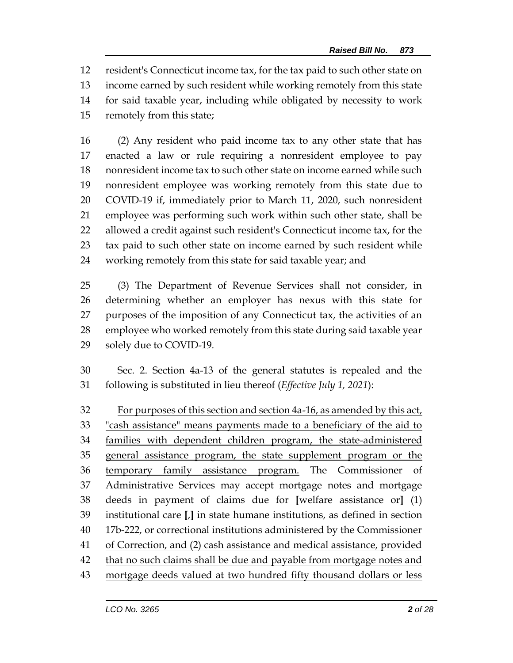resident's Connecticut income tax, for the tax paid to such other state on income earned by such resident while working remotely from this state for said taxable year, including while obligated by necessity to work remotely from this state;

 (2) Any resident who paid income tax to any other state that has enacted a law or rule requiring a nonresident employee to pay nonresident income tax to such other state on income earned while such nonresident employee was working remotely from this state due to COVID-19 if, immediately prior to March 11, 2020, such nonresident employee was performing such work within such other state, shall be 22 allowed a credit against such resident's Connecticut income tax, for the tax paid to such other state on income earned by such resident while working remotely from this state for said taxable year; and

 (3) The Department of Revenue Services shall not consider, in determining whether an employer has nexus with this state for purposes of the imposition of any Connecticut tax, the activities of an employee who worked remotely from this state during said taxable year solely due to COVID-19.

 Sec. 2. Section 4a-13 of the general statutes is repealed and the following is substituted in lieu thereof (*Effective July 1, 2021*):

 For purposes of this section and section 4a-16, as amended by this act, "cash assistance" means payments made to a beneficiary of the aid to families with dependent children program, the state-administered 35 general assistance program, the state supplement program or the temporary family assistance program. The Commissioner of Administrative Services may accept mortgage notes and mortgage deeds in payment of claims due for **[**welfare assistance or**]** (1) institutional care **[**,**]** in state humane institutions, as defined in section 17b-222, or correctional institutions administered by the Commissioner 41 of Correction, and (2) cash assistance and medical assistance, provided 42 that no such claims shall be due and payable from mortgage notes and mortgage deeds valued at two hundred fifty thousand dollars or less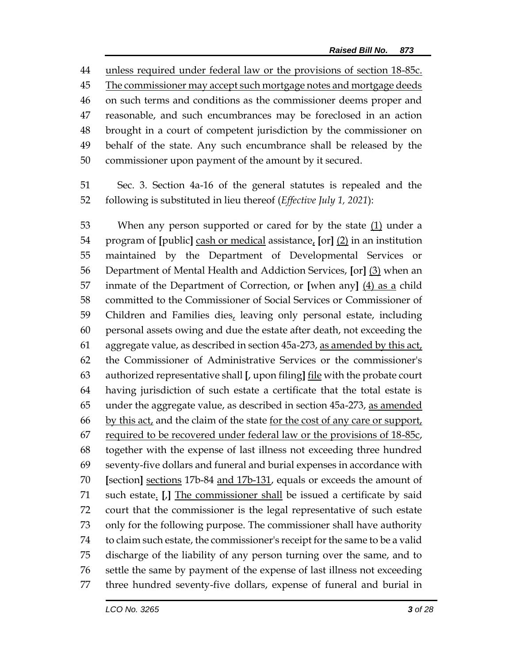unless required under federal law or the provisions of section 18-85c. 45 The commissioner may accept such mortgage notes and mortgage deeds on such terms and conditions as the commissioner deems proper and reasonable, and such encumbrances may be foreclosed in an action brought in a court of competent jurisdiction by the commissioner on behalf of the state. Any such encumbrance shall be released by the commissioner upon payment of the amount by it secured.

 Sec. 3. Section 4a-16 of the general statutes is repealed and the following is substituted in lieu thereof (*Effective July 1, 2021*):

 When any person supported or cared for by the state (1) under a program of **[**public**]** cash or medical assistance, **[**or**]** (2) in an institution maintained by the Department of Developmental Services or Department of Mental Health and Addiction Services, **[**or**]** (3) when an inmate of the Department of Correction, or **[**when any**]** (4) as a child committed to the Commissioner of Social Services or Commissioner of 59 Children and Families dies, leaving only personal estate, including personal assets owing and due the estate after death, not exceeding the aggregate value, as described in section 45a-273, as amended by this act, the Commissioner of Administrative Services or the commissioner's authorized representative shall **[**, upon filing**]** file with the probate court having jurisdiction of such estate a certificate that the total estate is under the aggregate value, as described in section 45a-273, as amended by this act, and the claim of the state for the cost of any care or support, required to be recovered under federal law or the provisions of 18-85c, together with the expense of last illness not exceeding three hundred seventy-five dollars and funeral and burial expenses in accordance with **[**section**]** sections 17b-84 and 17b-131, equals or exceeds the amount of such estate. **[**,**]** The commissioner shall be issued a certificate by said court that the commissioner is the legal representative of such estate only for the following purpose. The commissioner shall have authority to claim such estate, the commissioner's receipt for the same to be a valid discharge of the liability of any person turning over the same, and to settle the same by payment of the expense of last illness not exceeding three hundred seventy-five dollars, expense of funeral and burial in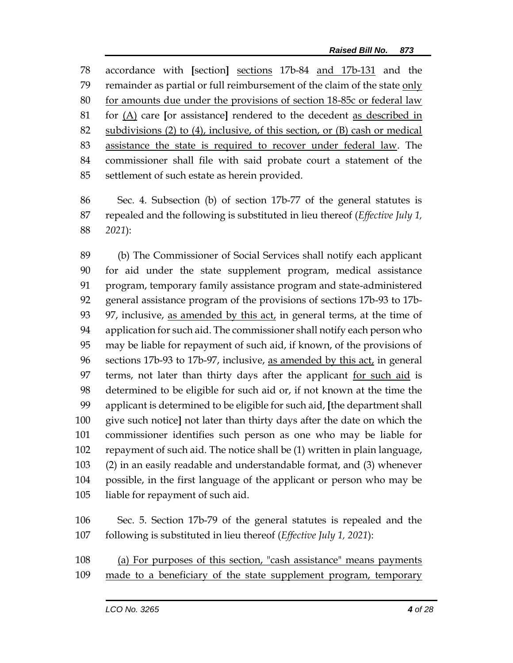accordance with **[**section**]** sections 17b-84 and 17b-131 and the remainder as partial or full reimbursement of the claim of the state only for amounts due under the provisions of section 18-85c or federal law for (A) care **[**or assistance**]** rendered to the decedent as described in subdivisions (2) to (4), inclusive, of this section, or (B) cash or medical assistance the state is required to recover under federal law. The commissioner shall file with said probate court a statement of the settlement of such estate as herein provided.

 Sec. 4. Subsection (b) of section 17b-77 of the general statutes is repealed and the following is substituted in lieu thereof (*Effective July 1, 2021*):

 (b) The Commissioner of Social Services shall notify each applicant for aid under the state supplement program, medical assistance program, temporary family assistance program and state-administered general assistance program of the provisions of sections 17b-93 to 17b-93 97, inclusive, as amended by this act, in general terms, at the time of application for such aid. The commissioner shall notify each person who may be liable for repayment of such aid, if known, of the provisions of sections 17b-93 to 17b-97, inclusive, as amended by this act, in general terms, not later than thirty days after the applicant for such aid is determined to be eligible for such aid or, if not known at the time the applicant is determined to be eligible for such aid, **[**the department shall give such notice**]** not later than thirty days after the date on which the commissioner identifies such person as one who may be liable for repayment of such aid. The notice shall be (1) written in plain language, (2) in an easily readable and understandable format, and (3) whenever possible, in the first language of the applicant or person who may be liable for repayment of such aid.

 Sec. 5. Section 17b-79 of the general statutes is repealed and the following is substituted in lieu thereof (*Effective July 1, 2021*):

 (a) For purposes of this section, "cash assistance" means payments made to a beneficiary of the state supplement program, temporary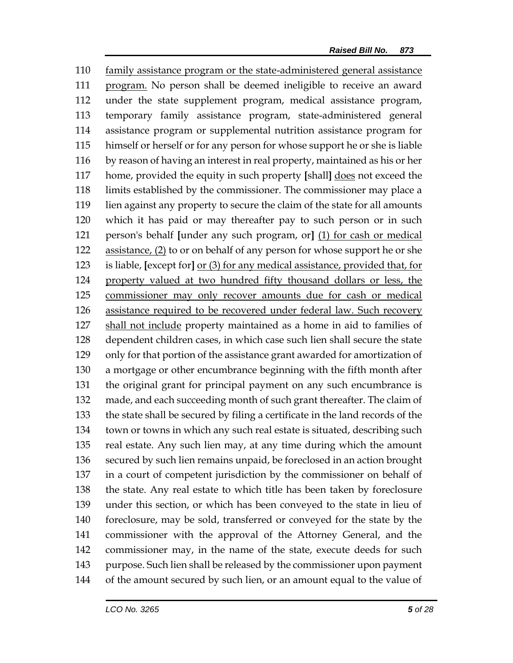family assistance program or the state-administered general assistance program. No person shall be deemed ineligible to receive an award under the state supplement program, medical assistance program, temporary family assistance program, state-administered general assistance program or supplemental nutrition assistance program for himself or herself or for any person for whose support he or she is liable by reason of having an interest in real property, maintained as his or her home, provided the equity in such property **[**shall**]** does not exceed the limits established by the commissioner. The commissioner may place a lien against any property to secure the claim of the state for all amounts which it has paid or may thereafter pay to such person or in such person's behalf **[**under any such program, or**]** (1) for cash or medical assistance, (2) to or on behalf of any person for whose support he or she is liable, **[**except for**]** or (3) for any medical assistance, provided that, for property valued at two hundred fifty thousand dollars or less, the commissioner may only recover amounts due for cash or medical assistance required to be recovered under federal law. Such recovery shall not include property maintained as a home in aid to families of dependent children cases, in which case such lien shall secure the state only for that portion of the assistance grant awarded for amortization of a mortgage or other encumbrance beginning with the fifth month after the original grant for principal payment on any such encumbrance is made, and each succeeding month of such grant thereafter. The claim of the state shall be secured by filing a certificate in the land records of the town or towns in which any such real estate is situated, describing such real estate. Any such lien may, at any time during which the amount secured by such lien remains unpaid, be foreclosed in an action brought in a court of competent jurisdiction by the commissioner on behalf of the state. Any real estate to which title has been taken by foreclosure under this section, or which has been conveyed to the state in lieu of foreclosure, may be sold, transferred or conveyed for the state by the commissioner with the approval of the Attorney General, and the commissioner may, in the name of the state, execute deeds for such purpose. Such lien shall be released by the commissioner upon payment of the amount secured by such lien, or an amount equal to the value of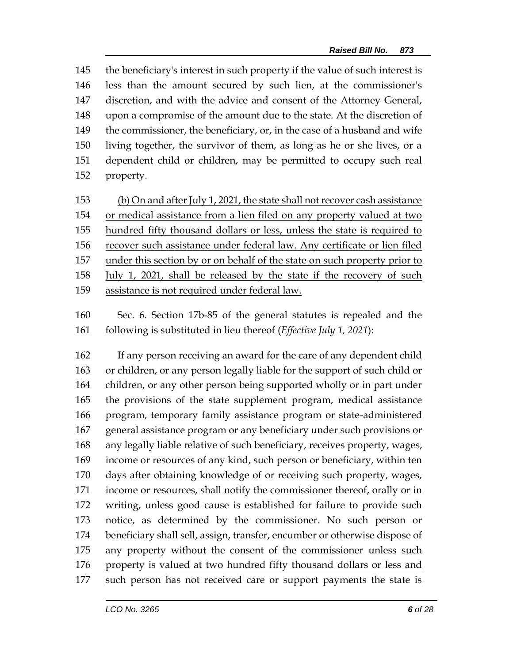the beneficiary's interest in such property if the value of such interest is less than the amount secured by such lien, at the commissioner's discretion, and with the advice and consent of the Attorney General, upon a compromise of the amount due to the state. At the discretion of 149 the commissioner, the beneficiary, or, in the case of a husband and wife living together, the survivor of them, as long as he or she lives, or a dependent child or children, may be permitted to occupy such real property.

 (b) On and after July 1, 2021, the state shall not recover cash assistance or medical assistance from a lien filed on any property valued at two hundred fifty thousand dollars or less, unless the state is required to recover such assistance under federal law. Any certificate or lien filed under this section by or on behalf of the state on such property prior to July 1, 2021, shall be released by the state if the recovery of such assistance is not required under federal law.

 Sec. 6. Section 17b-85 of the general statutes is repealed and the following is substituted in lieu thereof (*Effective July 1, 2021*):

 If any person receiving an award for the care of any dependent child or children, or any person legally liable for the support of such child or children, or any other person being supported wholly or in part under the provisions of the state supplement program, medical assistance program, temporary family assistance program or state-administered general assistance program or any beneficiary under such provisions or any legally liable relative of such beneficiary, receives property, wages, income or resources of any kind, such person or beneficiary, within ten days after obtaining knowledge of or receiving such property, wages, income or resources, shall notify the commissioner thereof, orally or in writing, unless good cause is established for failure to provide such notice, as determined by the commissioner. No such person or beneficiary shall sell, assign, transfer, encumber or otherwise dispose of any property without the consent of the commissioner unless such property is valued at two hundred fifty thousand dollars or less and such person has not received care or support payments the state is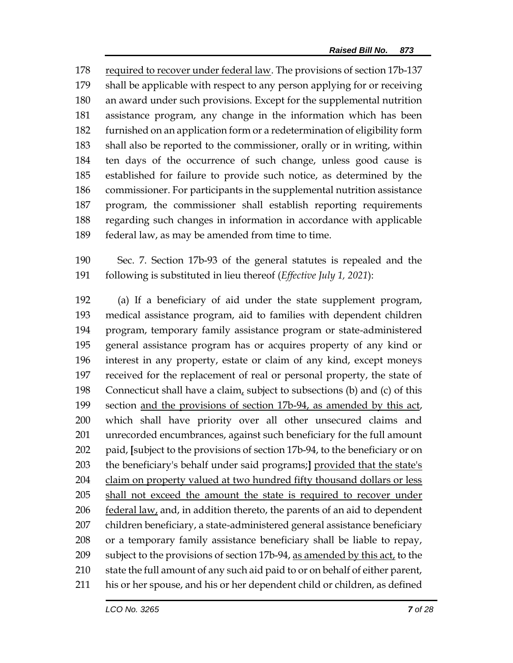required to recover under federal law. The provisions of section 17b-137 shall be applicable with respect to any person applying for or receiving an award under such provisions. Except for the supplemental nutrition assistance program, any change in the information which has been furnished on an application form or a redetermination of eligibility form shall also be reported to the commissioner, orally or in writing, within ten days of the occurrence of such change, unless good cause is established for failure to provide such notice, as determined by the commissioner. For participants in the supplemental nutrition assistance program, the commissioner shall establish reporting requirements regarding such changes in information in accordance with applicable federal law, as may be amended from time to time.

 Sec. 7. Section 17b-93 of the general statutes is repealed and the following is substituted in lieu thereof (*Effective July 1, 2021*):

 (a) If a beneficiary of aid under the state supplement program, medical assistance program, aid to families with dependent children program, temporary family assistance program or state-administered general assistance program has or acquires property of any kind or interest in any property, estate or claim of any kind, except moneys received for the replacement of real or personal property, the state of 198 Connecticut shall have a claim, subject to subsections (b) and (c) of this section and the provisions of section 17b-94, as amended by this act, which shall have priority over all other unsecured claims and unrecorded encumbrances, against such beneficiary for the full amount paid, **[**subject to the provisions of section 17b-94, to the beneficiary or on the beneficiary's behalf under said programs;**]** provided that the state's claim on property valued at two hundred fifty thousand dollars or less shall not exceed the amount the state is required to recover under 206 federal law, and, in addition thereto, the parents of an aid to dependent children beneficiary, a state-administered general assistance beneficiary or a temporary family assistance beneficiary shall be liable to repay, 209 subject to the provisions of section 17b-94, as amended by this act, to the state the full amount of any such aid paid to or on behalf of either parent, his or her spouse, and his or her dependent child or children, as defined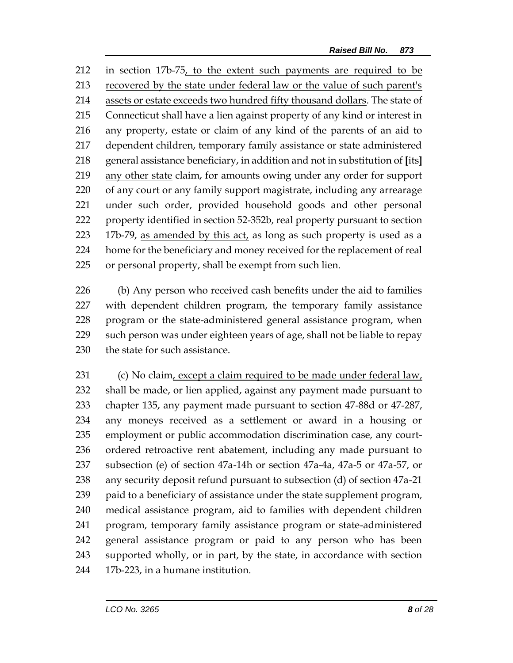in section 17b-75, to the extent such payments are required to be recovered by the state under federal law or the value of such parent's assets or estate exceeds two hundred fifty thousand dollars. The state of Connecticut shall have a lien against property of any kind or interest in any property, estate or claim of any kind of the parents of an aid to dependent children, temporary family assistance or state administered general assistance beneficiary, in addition and not in substitution of **[**its**]** any other state claim, for amounts owing under any order for support of any court or any family support magistrate, including any arrearage under such order, provided household goods and other personal property identified in section 52-352b, real property pursuant to section 17b-79, as amended by this act, as long as such property is used as a home for the beneficiary and money received for the replacement of real or personal property, shall be exempt from such lien.

 (b) Any person who received cash benefits under the aid to families with dependent children program, the temporary family assistance program or the state-administered general assistance program, when such person was under eighteen years of age, shall not be liable to repay the state for such assistance.

 (c) No claim, except a claim required to be made under federal law, shall be made, or lien applied, against any payment made pursuant to chapter 135, any payment made pursuant to section 47-88d or 47-287, any moneys received as a settlement or award in a housing or employment or public accommodation discrimination case, any court- ordered retroactive rent abatement, including any made pursuant to subsection (e) of section 47a-14h or section 47a-4a, 47a-5 or 47a-57, or any security deposit refund pursuant to subsection (d) of section 47a-21 paid to a beneficiary of assistance under the state supplement program, medical assistance program, aid to families with dependent children program, temporary family assistance program or state-administered general assistance program or paid to any person who has been supported wholly, or in part, by the state, in accordance with section 17b-223, in a humane institution.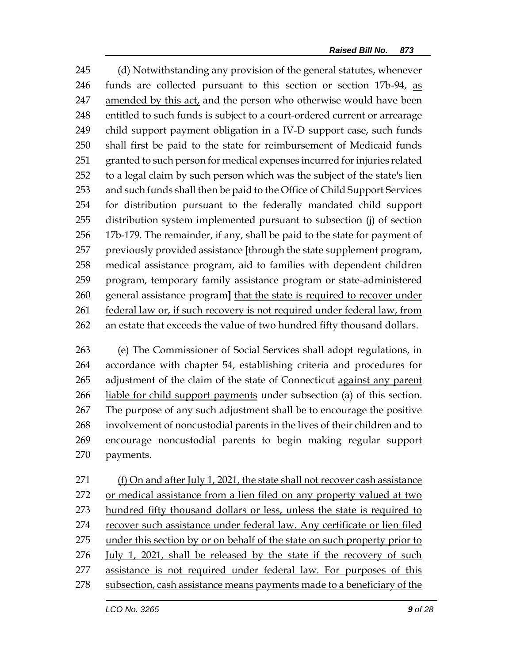(d) Notwithstanding any provision of the general statutes, whenever funds are collected pursuant to this section or section 17b-94, as amended by this act, and the person who otherwise would have been entitled to such funds is subject to a court-ordered current or arrearage child support payment obligation in a IV-D support case, such funds shall first be paid to the state for reimbursement of Medicaid funds granted to such person for medical expenses incurred for injuries related to a legal claim by such person which was the subject of the state's lien and such funds shall then be paid to the Office of Child Support Services for distribution pursuant to the federally mandated child support distribution system implemented pursuant to subsection (j) of section 17b-179. The remainder, if any, shall be paid to the state for payment of previously provided assistance **[**through the state supplement program, medical assistance program, aid to families with dependent children program, temporary family assistance program or state-administered general assistance program**]** that the state is required to recover under federal law or, if such recovery is not required under federal law, from an estate that exceeds the value of two hundred fifty thousand dollars.

 (e) The Commissioner of Social Services shall adopt regulations, in accordance with chapter 54, establishing criteria and procedures for 265 adjustment of the claim of the state of Connecticut against any parent 266 liable for child support payments under subsection (a) of this section. The purpose of any such adjustment shall be to encourage the positive involvement of noncustodial parents in the lives of their children and to encourage noncustodial parents to begin making regular support payments.

 (f) On and after July 1, 2021, the state shall not recover cash assistance 272 or medical assistance from a lien filed on any property valued at two 273 hundred fifty thousand dollars or less, unless the state is required to recover such assistance under federal law. Any certificate or lien filed under this section by or on behalf of the state on such property prior to 276 July 1, 2021, shall be released by the state if the recovery of such assistance is not required under federal law. For purposes of this 278 subsection, cash assistance means payments made to a beneficiary of the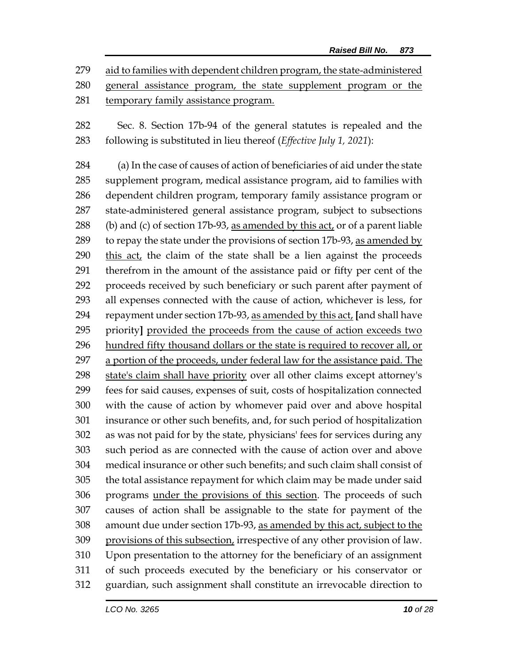aid to families with dependent children program, the state-administered

 general assistance program, the state supplement program or the temporary family assistance program.

 Sec. 8. Section 17b-94 of the general statutes is repealed and the following is substituted in lieu thereof (*Effective July 1, 2021*):

 (a) In the case of causes of action of beneficiaries of aid under the state supplement program, medical assistance program, aid to families with dependent children program, temporary family assistance program or state-administered general assistance program, subject to subsections (b) and (c) of section 17b-93, as amended by this act, or of a parent liable 289 to repay the state under the provisions of section 17b-93, as amended by this act, the claim of the state shall be a lien against the proceeds therefrom in the amount of the assistance paid or fifty per cent of the proceeds received by such beneficiary or such parent after payment of all expenses connected with the cause of action, whichever is less, for repayment under section 17b-93, as amended by this act, **[**and shall have priority**]** provided the proceeds from the cause of action exceeds two hundred fifty thousand dollars or the state is required to recover all, or a portion of the proceeds, under federal law for the assistance paid. The state's claim shall have priority over all other claims except attorney's fees for said causes, expenses of suit, costs of hospitalization connected with the cause of action by whomever paid over and above hospital insurance or other such benefits, and, for such period of hospitalization as was not paid for by the state, physicians' fees for services during any such period as are connected with the cause of action over and above medical insurance or other such benefits; and such claim shall consist of the total assistance repayment for which claim may be made under said programs under the provisions of this section. The proceeds of such causes of action shall be assignable to the state for payment of the amount due under section 17b-93, as amended by this act, subject to the provisions of this subsection, irrespective of any other provision of law. Upon presentation to the attorney for the beneficiary of an assignment of such proceeds executed by the beneficiary or his conservator or guardian, such assignment shall constitute an irrevocable direction to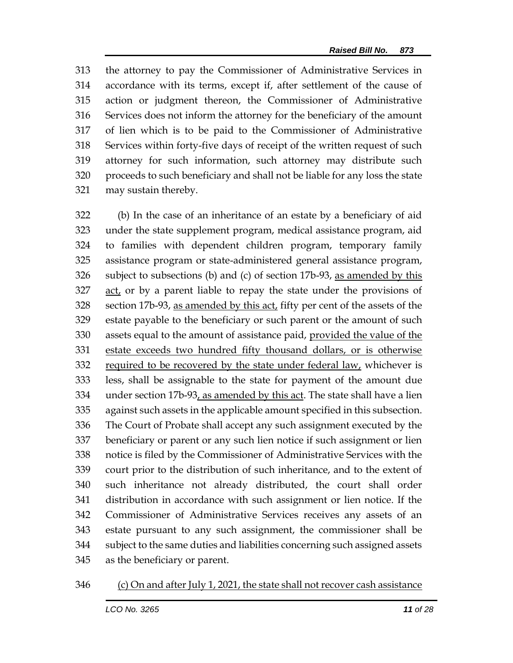the attorney to pay the Commissioner of Administrative Services in accordance with its terms, except if, after settlement of the cause of action or judgment thereon, the Commissioner of Administrative Services does not inform the attorney for the beneficiary of the amount of lien which is to be paid to the Commissioner of Administrative Services within forty-five days of receipt of the written request of such attorney for such information, such attorney may distribute such proceeds to such beneficiary and shall not be liable for any loss the state may sustain thereby.

 (b) In the case of an inheritance of an estate by a beneficiary of aid under the state supplement program, medical assistance program, aid to families with dependent children program, temporary family assistance program or state-administered general assistance program, subject to subsections (b) and (c) of section 17b-93, as amended by this act, or by a parent liable to repay the state under the provisions of section 17b-93, as amended by this act, fifty per cent of the assets of the estate payable to the beneficiary or such parent or the amount of such 330 assets equal to the amount of assistance paid, provided the value of the estate exceeds two hundred fifty thousand dollars, or is otherwise required to be recovered by the state under federal law, whichever is less, shall be assignable to the state for payment of the amount due 334 under section 17b-93, as amended by this act. The state shall have a lien against such assets in the applicable amount specified in this subsection. The Court of Probate shall accept any such assignment executed by the beneficiary or parent or any such lien notice if such assignment or lien notice is filed by the Commissioner of Administrative Services with the court prior to the distribution of such inheritance, and to the extent of such inheritance not already distributed, the court shall order distribution in accordance with such assignment or lien notice. If the Commissioner of Administrative Services receives any assets of an estate pursuant to any such assignment, the commissioner shall be subject to the same duties and liabilities concerning such assigned assets as the beneficiary or parent.

#### (c) On and after July 1, 2021, the state shall not recover cash assistance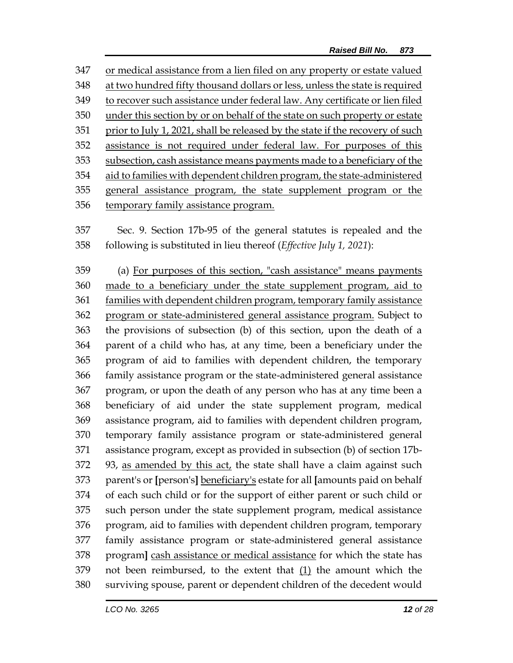or medical assistance from a lien filed on any property or estate valued at two hundred fifty thousand dollars or less, unless the state is required to recover such assistance under federal law. Any certificate or lien filed under this section by or on behalf of the state on such property or estate prior to July 1, 2021, shall be released by the state if the recovery of such assistance is not required under federal law. For purposes of this subsection, cash assistance means payments made to a beneficiary of the aid to families with dependent children program, the state-administered general assistance program, the state supplement program or the temporary family assistance program.

 Sec. 9. Section 17b-95 of the general statutes is repealed and the following is substituted in lieu thereof (*Effective July 1, 2021*):

 (a) For purposes of this section, "cash assistance" means payments made to a beneficiary under the state supplement program, aid to 361 families with dependent children program, temporary family assistance program or state-administered general assistance program. Subject to the provisions of subsection (b) of this section, upon the death of a parent of a child who has, at any time, been a beneficiary under the program of aid to families with dependent children, the temporary family assistance program or the state-administered general assistance program, or upon the death of any person who has at any time been a beneficiary of aid under the state supplement program, medical assistance program, aid to families with dependent children program, temporary family assistance program or state-administered general assistance program, except as provided in subsection (b) of section 17b- 93, as amended by this act, the state shall have a claim against such parent's or **[**person's**]** beneficiary's estate for all **[**amounts paid on behalf of each such child or for the support of either parent or such child or such person under the state supplement program, medical assistance program, aid to families with dependent children program, temporary family assistance program or state-administered general assistance program**]** cash assistance or medical assistance for which the state has 379 not been reimbursed, to the extent that  $(1)$  the amount which the surviving spouse, parent or dependent children of the decedent would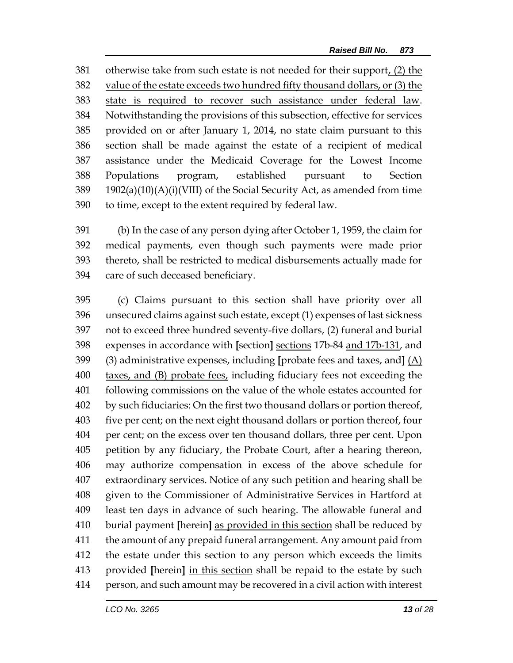381 otherwise take from such estate is not needed for their support, (2) the value of the estate exceeds two hundred fifty thousand dollars, or (3) the 383 state is required to recover such assistance under federal law. Notwithstanding the provisions of this subsection, effective for services provided on or after January 1, 2014, no state claim pursuant to this section shall be made against the estate of a recipient of medical assistance under the Medicaid Coverage for the Lowest Income Populations program, established pursuant to Section 1902(a)(10)(A)(i)(VIII) of the Social Security Act, as amended from time to time, except to the extent required by federal law.

 (b) In the case of any person dying after October 1, 1959, the claim for medical payments, even though such payments were made prior thereto, shall be restricted to medical disbursements actually made for care of such deceased beneficiary.

 (c) Claims pursuant to this section shall have priority over all unsecured claims against such estate, except (1) expenses of last sickness not to exceed three hundred seventy-five dollars, (2) funeral and burial expenses in accordance with **[**section**]** sections 17b-84 and 17b-131, and (3) administrative expenses, including **[**probate fees and taxes, and**]** (A) taxes, and (B) probate fees, including fiduciary fees not exceeding the following commissions on the value of the whole estates accounted for by such fiduciaries: On the first two thousand dollars or portion thereof, five per cent; on the next eight thousand dollars or portion thereof, four per cent; on the excess over ten thousand dollars, three per cent. Upon petition by any fiduciary, the Probate Court, after a hearing thereon, may authorize compensation in excess of the above schedule for extraordinary services. Notice of any such petition and hearing shall be given to the Commissioner of Administrative Services in Hartford at least ten days in advance of such hearing. The allowable funeral and burial payment **[**herein**]** as provided in this section shall be reduced by the amount of any prepaid funeral arrangement. Any amount paid from the estate under this section to any person which exceeds the limits provided **[**herein**]** in this section shall be repaid to the estate by such person, and such amount may be recovered in a civil action with interest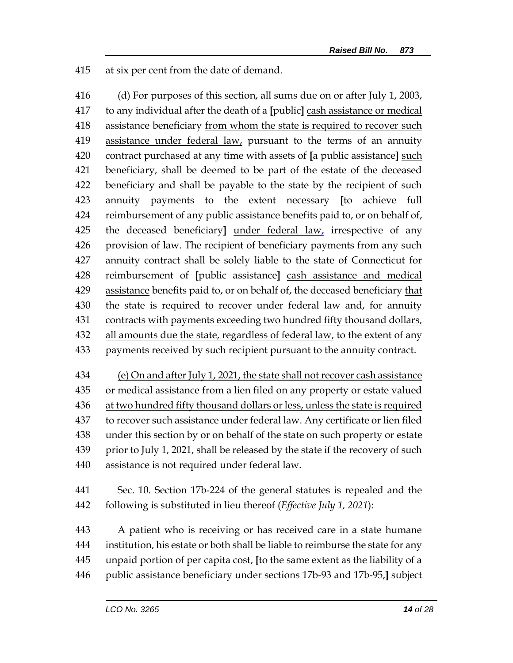at six per cent from the date of demand.

 (d) For purposes of this section, all sums due on or after July 1, 2003, to any individual after the death of a **[**public**]** cash assistance or medical assistance beneficiary from whom the state is required to recover such 419 assistance under federal law, pursuant to the terms of an annuity contract purchased at any time with assets of **[**a public assistance**]** such beneficiary, shall be deemed to be part of the estate of the deceased beneficiary and shall be payable to the state by the recipient of such annuity payments to the extent necessary **[**to achieve full reimbursement of any public assistance benefits paid to, or on behalf of, the deceased beneficiary**]** under federal law, irrespective of any provision of law. The recipient of beneficiary payments from any such annuity contract shall be solely liable to the state of Connecticut for reimbursement of **[**public assistance**]** cash assistance and medical assistance benefits paid to, or on behalf of, the deceased beneficiary that the state is required to recover under federal law and, for annuity 431 contracts with payments exceeding two hundred fifty thousand dollars, 432 all amounts due the state, regardless of federal law, to the extent of any payments received by such recipient pursuant to the annuity contract.

 (e) On and after July 1, 2021, the state shall not recover cash assistance or medical assistance from a lien filed on any property or estate valued 436 at two hundred fifty thousand dollars or less, unless the state is required to recover such assistance under federal law. Any certificate or lien filed under this section by or on behalf of the state on such property or estate prior to July 1, 2021, shall be released by the state if the recovery of such assistance is not required under federal law.

 Sec. 10. Section 17b-224 of the general statutes is repealed and the following is substituted in lieu thereof (*Effective July 1, 2021*):

 A patient who is receiving or has received care in a state humane institution, his estate or both shall be liable to reimburse the state for any unpaid portion of per capita cost, **[**to the same extent as the liability of a public assistance beneficiary under sections 17b-93 and 17b-95,**]** subject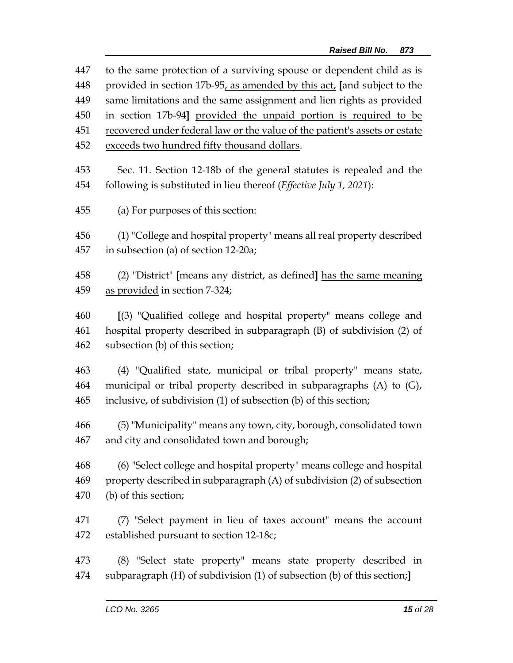| 447 | to the same protection of a surviving spouse or dependent child as is      |
|-----|----------------------------------------------------------------------------|
| 448 | provided in section 17b-95, as amended by this act, [and subject to the    |
| 449 | same limitations and the same assignment and lien rights as provided       |
| 450 | in section 17b-94] provided the unpaid portion is required to be           |
| 451 | recovered under federal law or the value of the patient's assets or estate |
| 452 | exceeds two hundred fifty thousand dollars.                                |
| 453 | Sec. 11. Section 12-18b of the general statutes is repealed and the        |
| 454 | following is substituted in lieu thereof (Effective July 1, 2021):         |
| 455 | (a) For purposes of this section:                                          |
| 456 | (1) "College and hospital property" means all real property described      |
| 457 | in subsection (a) of section 12-20a;                                       |
| 458 | (2) "District" [means any district, as defined] has the same meaning       |
| 459 | as provided in section 7-324;                                              |
| 460 | [(3) "Qualified college and hospital property" means college and           |
| 461 | hospital property described in subparagraph (B) of subdivision (2) of      |
| 462 | subsection (b) of this section;                                            |
| 463 | (4) "Qualified state, municipal or tribal property" means state,           |
| 464 | municipal or tribal property described in subparagraphs (A) to (G),        |
| 465 | inclusive, of subdivision (1) of subsection (b) of this section;           |
| 466 | (5) "Municipality" means any town, city, borough, consolidated town        |
| 467 | and city and consolidated town and borough;                                |
| 468 | (6) "Select college and hospital property" means college and hospital      |
| 469 | property described in subparagraph (A) of subdivision (2) of subsection    |
| 470 | (b) of this section;                                                       |
| 471 | (7) "Select payment in lieu of taxes account" means the account            |
| 472 | established pursuant to section 12-18c;                                    |
| 473 | (8) "Select state property" means state property described in              |
| 474 | subparagraph (H) of subdivision (1) of subsection (b) of this section;     |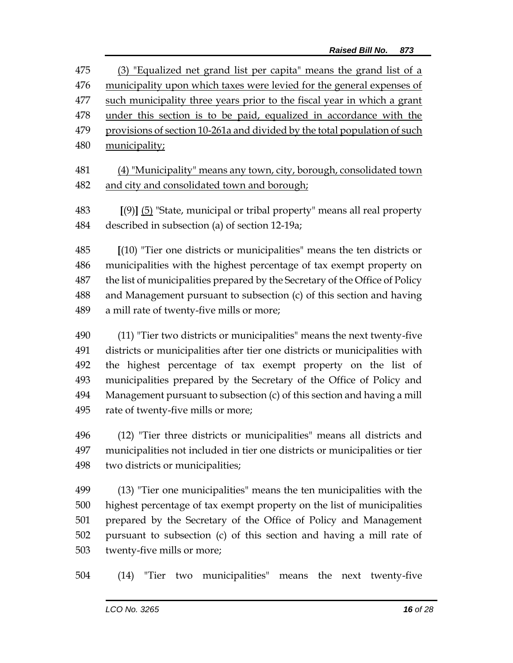(3) "Equalized net grand list per capita" means the grand list of a municipality upon which taxes were levied for the general expenses of such municipality three years prior to the fiscal year in which a grant under this section is to be paid, equalized in accordance with the provisions of section 10-261a and divided by the total population of such municipality;

 (4) "Municipality" means any town, city, borough, consolidated town 482 and city and consolidated town and borough;

 **[**(9)**]** (5) "State, municipal or tribal property" means all real property described in subsection (a) of section 12-19a;

 **[**(10) "Tier one districts or municipalities" means the ten districts or municipalities with the highest percentage of tax exempt property on the list of municipalities prepared by the Secretary of the Office of Policy and Management pursuant to subsection (c) of this section and having a mill rate of twenty-five mills or more;

 (11) "Tier two districts or municipalities" means the next twenty-five districts or municipalities after tier one districts or municipalities with the highest percentage of tax exempt property on the list of municipalities prepared by the Secretary of the Office of Policy and Management pursuant to subsection (c) of this section and having a mill rate of twenty-five mills or more;

 (12) "Tier three districts or municipalities" means all districts and municipalities not included in tier one districts or municipalities or tier two districts or municipalities;

 (13) "Tier one municipalities" means the ten municipalities with the highest percentage of tax exempt property on the list of municipalities prepared by the Secretary of the Office of Policy and Management pursuant to subsection (c) of this section and having a mill rate of twenty-five mills or more;

(14) "Tier two municipalities" means the next twenty-five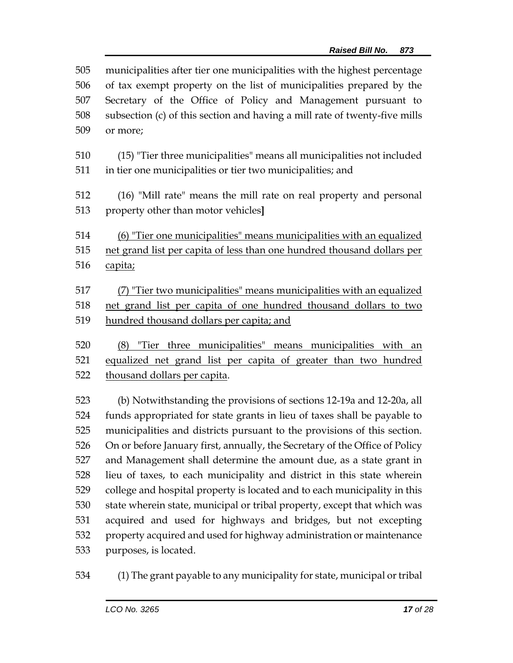| 505<br>506<br>507<br>508 | municipalities after tier one municipalities with the highest percentage<br>of tax exempt property on the list of municipalities prepared by the<br>Secretary of the Office of Policy and Management pursuant to<br>subsection (c) of this section and having a mill rate of twenty-five mills |
|--------------------------|------------------------------------------------------------------------------------------------------------------------------------------------------------------------------------------------------------------------------------------------------------------------------------------------|
| 509                      | or more;                                                                                                                                                                                                                                                                                       |
| 510<br>511               | (15) "Tier three municipalities" means all municipalities not included<br>in tier one municipalities or tier two municipalities; and                                                                                                                                                           |
| 512<br>513               | (16) "Mill rate" means the mill rate on real property and personal<br>property other than motor vehicles]                                                                                                                                                                                      |
|                          |                                                                                                                                                                                                                                                                                                |
| 514                      | (6) "Tier one municipalities" means municipalities with an equalized                                                                                                                                                                                                                           |
| 515<br>516               | net grand list per capita of less than one hundred thousand dollars per<br>capita;                                                                                                                                                                                                             |
| 517                      | (7) "Tier two municipalities" means municipalities with an equalized                                                                                                                                                                                                                           |
| 518                      | net grand list per capita of one hundred thousand dollars to two                                                                                                                                                                                                                               |
| 519                      | hundred thousand dollars per capita; and                                                                                                                                                                                                                                                       |
| 520                      | (8) "Tier three municipalities" means municipalities with an                                                                                                                                                                                                                                   |
| 521                      | equalized net grand list per capita of greater than two hundred                                                                                                                                                                                                                                |
| 522                      | thousand dollars per capita.                                                                                                                                                                                                                                                                   |
| 523                      | (b) Notwithstanding the provisions of sections 12-19a and 12-20a, all                                                                                                                                                                                                                          |
| 524                      | funds appropriated for state grants in lieu of taxes shall be payable to                                                                                                                                                                                                                       |
| 525                      | municipalities and districts pursuant to the provisions of this section.                                                                                                                                                                                                                       |
| 526                      | On or before January first, annually, the Secretary of the Office of Policy                                                                                                                                                                                                                    |
| 527                      | and Management shall determine the amount due, as a state grant in                                                                                                                                                                                                                             |
| 528                      | lieu of taxes, to each municipality and district in this state wherein                                                                                                                                                                                                                         |
| 529                      | college and hospital property is located and to each municipality in this                                                                                                                                                                                                                      |
| 530                      | state wherein state, municipal or tribal property, except that which was                                                                                                                                                                                                                       |
| 531                      | acquired and used for highways and bridges, but not excepting                                                                                                                                                                                                                                  |
| 532                      | property acquired and used for highway administration or maintenance                                                                                                                                                                                                                           |
| 533                      | purposes, is located.                                                                                                                                                                                                                                                                          |

(1) The grant payable to any municipality for state, municipal or tribal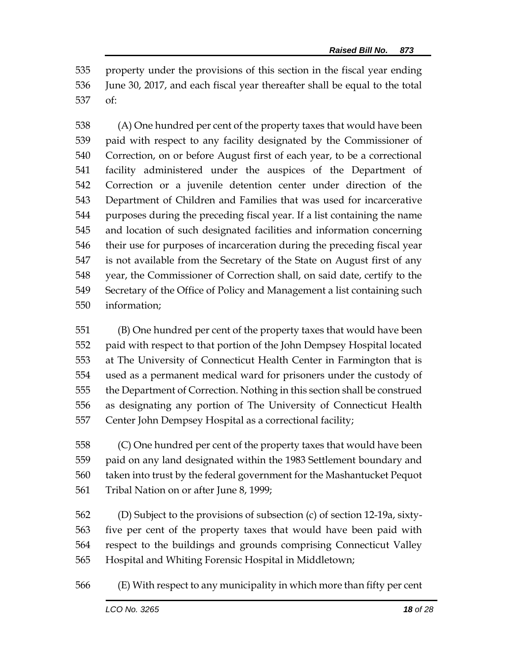property under the provisions of this section in the fiscal year ending June 30, 2017, and each fiscal year thereafter shall be equal to the total of:

 (A) One hundred per cent of the property taxes that would have been paid with respect to any facility designated by the Commissioner of Correction, on or before August first of each year, to be a correctional facility administered under the auspices of the Department of Correction or a juvenile detention center under direction of the Department of Children and Families that was used for incarcerative purposes during the preceding fiscal year. If a list containing the name and location of such designated facilities and information concerning their use for purposes of incarceration during the preceding fiscal year is not available from the Secretary of the State on August first of any year, the Commissioner of Correction shall, on said date, certify to the Secretary of the Office of Policy and Management a list containing such information;

 (B) One hundred per cent of the property taxes that would have been paid with respect to that portion of the John Dempsey Hospital located at The University of Connecticut Health Center in Farmington that is used as a permanent medical ward for prisoners under the custody of the Department of Correction. Nothing in this section shall be construed as designating any portion of The University of Connecticut Health Center John Dempsey Hospital as a correctional facility;

 (C) One hundred per cent of the property taxes that would have been paid on any land designated within the 1983 Settlement boundary and taken into trust by the federal government for the Mashantucket Pequot Tribal Nation on or after June 8, 1999;

 (D) Subject to the provisions of subsection (c) of section 12-19a, sixty- five per cent of the property taxes that would have been paid with respect to the buildings and grounds comprising Connecticut Valley Hospital and Whiting Forensic Hospital in Middletown;

(E) With respect to any municipality in which more than fifty per cent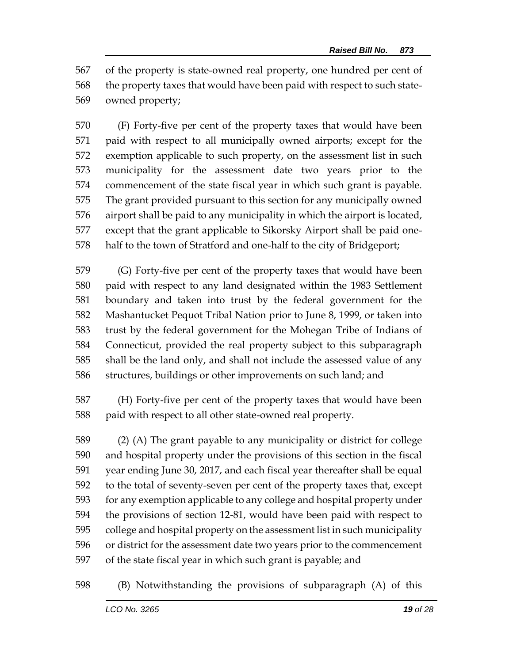of the property is state-owned real property, one hundred per cent of the property taxes that would have been paid with respect to such state-owned property;

 (F) Forty-five per cent of the property taxes that would have been paid with respect to all municipally owned airports; except for the exemption applicable to such property, on the assessment list in such municipality for the assessment date two years prior to the commencement of the state fiscal year in which such grant is payable. The grant provided pursuant to this section for any municipally owned airport shall be paid to any municipality in which the airport is located, except that the grant applicable to Sikorsky Airport shall be paid one-half to the town of Stratford and one-half to the city of Bridgeport;

 (G) Forty-five per cent of the property taxes that would have been paid with respect to any land designated within the 1983 Settlement boundary and taken into trust by the federal government for the Mashantucket Pequot Tribal Nation prior to June 8, 1999, or taken into trust by the federal government for the Mohegan Tribe of Indians of Connecticut, provided the real property subject to this subparagraph shall be the land only, and shall not include the assessed value of any structures, buildings or other improvements on such land; and

 (H) Forty-five per cent of the property taxes that would have been paid with respect to all other state-owned real property.

 (2) (A) The grant payable to any municipality or district for college and hospital property under the provisions of this section in the fiscal year ending June 30, 2017, and each fiscal year thereafter shall be equal to the total of seventy-seven per cent of the property taxes that, except for any exemption applicable to any college and hospital property under the provisions of section 12-81, would have been paid with respect to college and hospital property on the assessment list in such municipality or district for the assessment date two years prior to the commencement of the state fiscal year in which such grant is payable; and

(B) Notwithstanding the provisions of subparagraph (A) of this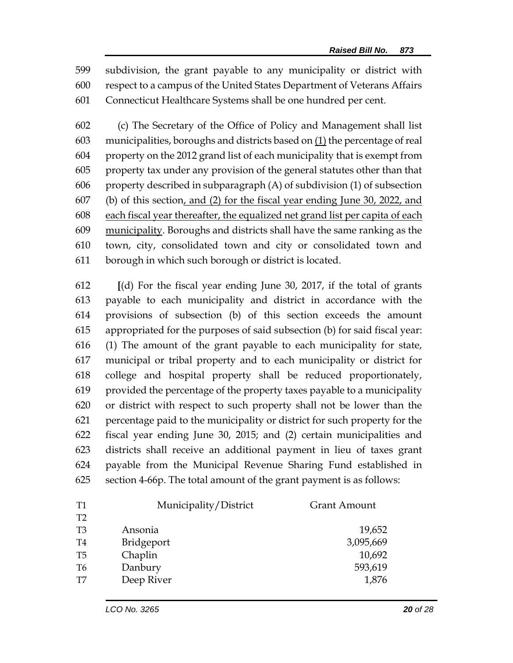subdivision, the grant payable to any municipality or district with respect to a campus of the United States Department of Veterans Affairs Connecticut Healthcare Systems shall be one hundred per cent.

 (c) The Secretary of the Office of Policy and Management shall list municipalities, boroughs and districts based on (1) the percentage of real property on the 2012 grand list of each municipality that is exempt from property tax under any provision of the general statutes other than that property described in subparagraph (A) of subdivision (1) of subsection (b) of this section, and (2) for the fiscal year ending June 30, 2022, and each fiscal year thereafter, the equalized net grand list per capita of each municipality. Boroughs and districts shall have the same ranking as the town, city, consolidated town and city or consolidated town and borough in which such borough or district is located.

 **[**(d) For the fiscal year ending June 30, 2017, if the total of grants payable to each municipality and district in accordance with the provisions of subsection (b) of this section exceeds the amount appropriated for the purposes of said subsection (b) for said fiscal year: (1) The amount of the grant payable to each municipality for state, municipal or tribal property and to each municipality or district for college and hospital property shall be reduced proportionately, provided the percentage of the property taxes payable to a municipality or district with respect to such property shall not be lower than the percentage paid to the municipality or district for such property for the fiscal year ending June 30, 2015; and (2) certain municipalities and districts shall receive an additional payment in lieu of taxes grant payable from the Municipal Revenue Sharing Fund established in section 4-66p. The total amount of the grant payment is as follows:

| T <sub>1</sub> | Municipality/District | <b>Grant Amount</b> |
|----------------|-----------------------|---------------------|
| T <sub>2</sub> |                       |                     |
| T <sub>3</sub> | Ansonia               | 19,652              |
| T4             | Bridgeport            | 3,095,669           |
| T <sub>5</sub> | Chaplin               | 10,692              |
| T <sub>6</sub> | Danbury               | 593,619             |
| T <sub>7</sub> | Deep River            | 1,876               |
|                |                       |                     |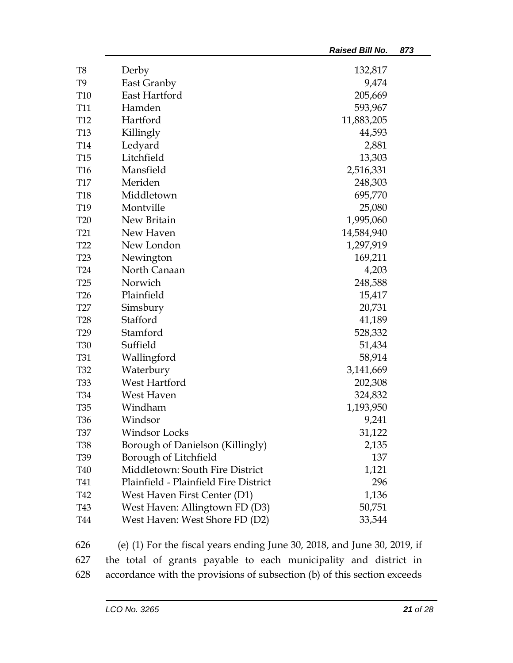|                 |                                                                            | <b>Raised Bill No.</b> | 873 |
|-----------------|----------------------------------------------------------------------------|------------------------|-----|
| T <sub>8</sub>  | Derby                                                                      | 132,817                |     |
| T <sub>9</sub>  | East Granby                                                                | 9,474                  |     |
| T <sub>10</sub> | East Hartford                                                              | 205,669                |     |
| <b>T11</b>      | Hamden                                                                     | 593,967                |     |
| T <sub>12</sub> | Hartford                                                                   | 11,883,205             |     |
| <b>T13</b>      | Killingly                                                                  | 44,593                 |     |
| T14             | Ledyard                                                                    | 2,881                  |     |
| <b>T15</b>      | Litchfield                                                                 | 13,303                 |     |
| T16             | Mansfield                                                                  | 2,516,331              |     |
| <b>T17</b>      | Meriden                                                                    | 248,303                |     |
| <b>T18</b>      | Middletown                                                                 | 695,770                |     |
| T19             | Montville                                                                  | 25,080                 |     |
| <b>T20</b>      | New Britain                                                                | 1,995,060              |     |
| T <sub>21</sub> | New Haven                                                                  | 14,584,940             |     |
| T <sub>22</sub> | New London                                                                 | 1,297,919              |     |
| T <sub>23</sub> | Newington                                                                  | 169,211                |     |
| <b>T24</b>      | North Canaan                                                               | 4,203                  |     |
| T <sub>25</sub> | Norwich                                                                    | 248,588                |     |
| T <sub>26</sub> | Plainfield                                                                 | 15,417                 |     |
| T27             | Simsbury                                                                   | 20,731                 |     |
| <b>T28</b>      | Stafford                                                                   | 41,189                 |     |
| T <sub>29</sub> | Stamford                                                                   | 528,332                |     |
| <b>T30</b>      | Suffield                                                                   | 51,434                 |     |
| <b>T31</b>      | Wallingford                                                                | 58,914                 |     |
| T <sub>32</sub> | Waterbury                                                                  | 3,141,669              |     |
| <b>T33</b>      | West Hartford                                                              | 202,308                |     |
| <b>T34</b>      | West Haven                                                                 | 324,832                |     |
| <b>T35</b>      | Windham                                                                    | 1,193,950              |     |
| T <sub>36</sub> | Windsor                                                                    | 9,241                  |     |
| <b>T37</b>      | Windsor Locks                                                              | 31,122                 |     |
| <b>T38</b>      | Borough of Danielson (Killingly)                                           | 2,135                  |     |
| T <sub>39</sub> | Borough of Litchfield                                                      | 137                    |     |
| <b>T40</b>      | Middletown: South Fire District                                            | 1,121                  |     |
| T41             | Plainfield - Plainfield Fire District                                      | 296                    |     |
| T42             | West Haven First Center (D1)                                               | 1,136                  |     |
| T43             | West Haven: Allingtown FD (D3)                                             | 50,751                 |     |
| <b>T44</b>      | West Haven: West Shore FD (D2)                                             | 33,544                 |     |
| 626             | (e) $(1)$ For the fiscal years ending June 30, 2018, and June 30, 2019, if |                        |     |

627 the total of grants payable to each municipality and district in 628 accordance with the provisions of subsection (b) of this section exceeds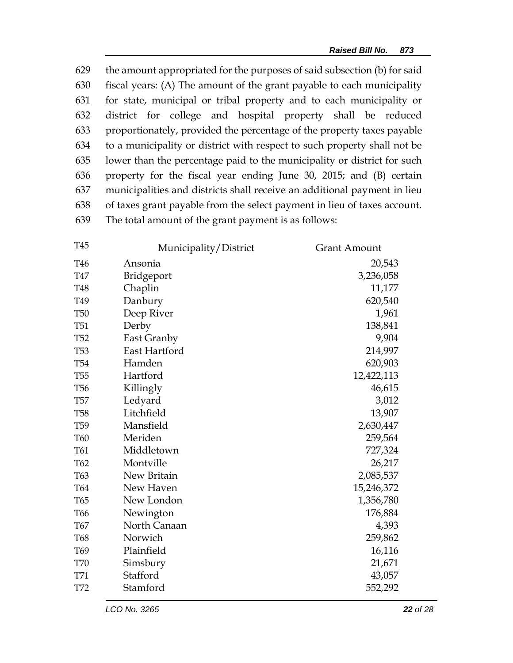the amount appropriated for the purposes of said subsection (b) for said fiscal years: (A) The amount of the grant payable to each municipality for state, municipal or tribal property and to each municipality or district for college and hospital property shall be reduced proportionately, provided the percentage of the property taxes payable to a municipality or district with respect to such property shall not be lower than the percentage paid to the municipality or district for such property for the fiscal year ending June 30, 2015; and (B) certain municipalities and districts shall receive an additional payment in lieu of taxes grant payable from the select payment in lieu of taxes account. The total amount of the grant payment is as follows:

| T45             | Municipality/District | Grant Amount |
|-----------------|-----------------------|--------------|
| T46             | Ansonia               | 20,543       |
| T47             | Bridgeport            | 3,236,058    |
| T48             | Chaplin               | 11,177       |
| T49             | Danbury               | 620,540      |
| <b>T50</b>      | Deep River            | 1,961        |
| <b>T51</b>      | Derby                 | 138,841      |
| T <sub>52</sub> | East Granby           | 9,904        |
| <b>T53</b>      | East Hartford         | 214,997      |
| <b>T54</b>      | Hamden                | 620,903      |
| <b>T55</b>      | Hartford              | 12,422,113   |
| T <sub>56</sub> | Killingly             | 46,615       |
| <b>T57</b>      | Ledyard               | 3,012        |
| <b>T58</b>      | Litchfield            | 13,907       |
| T <sub>59</sub> | Mansfield             | 2,630,447    |
| <b>T60</b>      | Meriden               | 259,564      |
| T61             | Middletown            | 727,324      |
| T62             | Montville             | 26,217       |
| T63             | New Britain           | 2,085,537    |
| T64             | New Haven             | 15,246,372   |
| T65             | New London            | 1,356,780    |
| T <sub>66</sub> | Newington             | 176,884      |
| T67             | North Canaan          | 4,393        |
| T68             | Norwich               | 259,862      |
| T69             | Plainfield            | 16,116       |
| <b>T70</b>      | Simsbury              | 21,671       |
| T71             | Stafford              | 43,057       |
| T72             | Stamford              | 552,292      |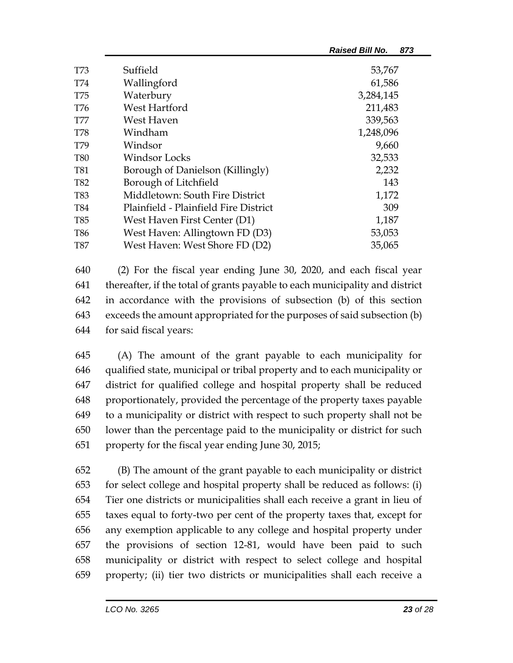|            |                                       | <b>Raised Bill No.</b><br>873 |
|------------|---------------------------------------|-------------------------------|
| T73        | Suffield                              | 53,767                        |
| T74        | Wallingford                           | 61,586                        |
| T75        | Waterbury                             | 3,284,145                     |
| T76        | West Hartford                         | 211,483                       |
| T77        | West Haven                            | 339,563                       |
| <b>T78</b> | Windham                               | 1,248,096                     |
| T79        | Windsor                               | 9,660                         |
| <b>T80</b> | Windsor Locks                         | 32,533                        |
| <b>T81</b> | Borough of Danielson (Killingly)      | 2,232                         |
| T82        | Borough of Litchfield                 | 143                           |
| T83        | Middletown: South Fire District       | 1,172                         |
| T84        | Plainfield - Plainfield Fire District | 309                           |
| T85        | West Haven First Center (D1)          | 1,187                         |
| T86        | West Haven: Allingtown FD (D3)        | 53,053                        |
| T87        | West Haven: West Shore FD (D2)        | 35,065                        |

 (2) For the fiscal year ending June 30, 2020, and each fiscal year thereafter, if the total of grants payable to each municipality and district in accordance with the provisions of subsection (b) of this section exceeds the amount appropriated for the purposes of said subsection (b) for said fiscal years:

 (A) The amount of the grant payable to each municipality for qualified state, municipal or tribal property and to each municipality or district for qualified college and hospital property shall be reduced proportionately, provided the percentage of the property taxes payable to a municipality or district with respect to such property shall not be lower than the percentage paid to the municipality or district for such property for the fiscal year ending June 30, 2015;

 (B) The amount of the grant payable to each municipality or district for select college and hospital property shall be reduced as follows: (i) Tier one districts or municipalities shall each receive a grant in lieu of taxes equal to forty-two per cent of the property taxes that, except for any exemption applicable to any college and hospital property under the provisions of section 12-81, would have been paid to such municipality or district with respect to select college and hospital property; (ii) tier two districts or municipalities shall each receive a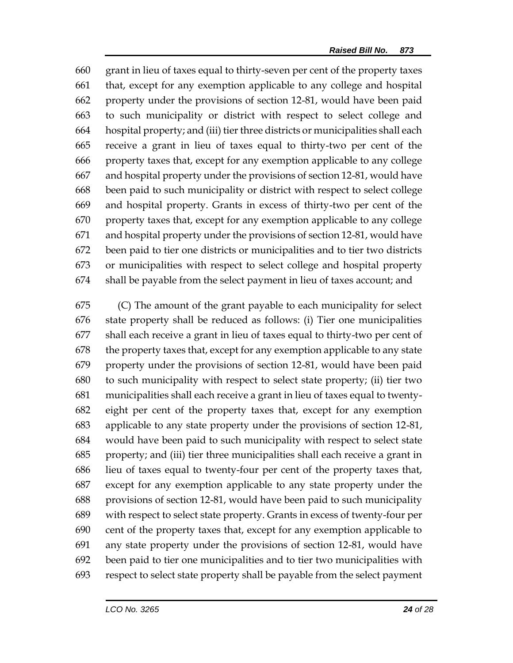grant in lieu of taxes equal to thirty-seven per cent of the property taxes that, except for any exemption applicable to any college and hospital property under the provisions of section 12-81, would have been paid to such municipality or district with respect to select college and hospital property; and (iii) tier three districts or municipalities shall each receive a grant in lieu of taxes equal to thirty-two per cent of the property taxes that, except for any exemption applicable to any college and hospital property under the provisions of section 12-81, would have been paid to such municipality or district with respect to select college and hospital property. Grants in excess of thirty-two per cent of the property taxes that, except for any exemption applicable to any college and hospital property under the provisions of section 12-81, would have been paid to tier one districts or municipalities and to tier two districts or municipalities with respect to select college and hospital property shall be payable from the select payment in lieu of taxes account; and

 (C) The amount of the grant payable to each municipality for select state property shall be reduced as follows: (i) Tier one municipalities shall each receive a grant in lieu of taxes equal to thirty-two per cent of the property taxes that, except for any exemption applicable to any state property under the provisions of section 12-81, would have been paid to such municipality with respect to select state property; (ii) tier two municipalities shall each receive a grant in lieu of taxes equal to twenty- eight per cent of the property taxes that, except for any exemption applicable to any state property under the provisions of section 12-81, would have been paid to such municipality with respect to select state property; and (iii) tier three municipalities shall each receive a grant in lieu of taxes equal to twenty-four per cent of the property taxes that, except for any exemption applicable to any state property under the provisions of section 12-81, would have been paid to such municipality with respect to select state property. Grants in excess of twenty-four per cent of the property taxes that, except for any exemption applicable to any state property under the provisions of section 12-81, would have been paid to tier one municipalities and to tier two municipalities with respect to select state property shall be payable from the select payment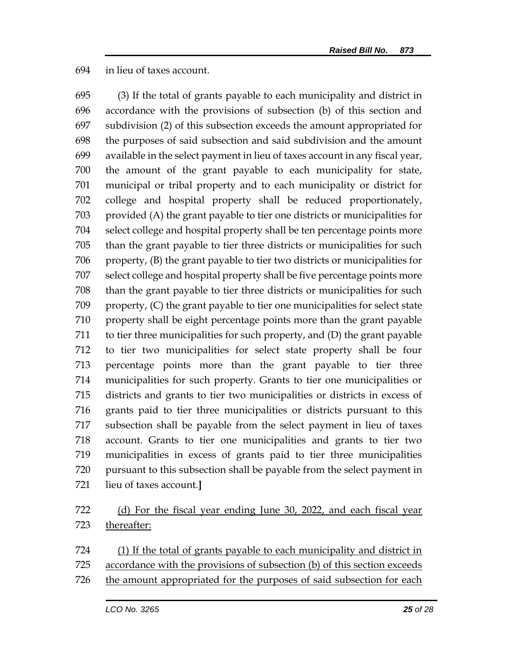#### in lieu of taxes account.

 (3) If the total of grants payable to each municipality and district in accordance with the provisions of subsection (b) of this section and subdivision (2) of this subsection exceeds the amount appropriated for the purposes of said subsection and said subdivision and the amount available in the select payment in lieu of taxes account in any fiscal year, the amount of the grant payable to each municipality for state, municipal or tribal property and to each municipality or district for college and hospital property shall be reduced proportionately, provided (A) the grant payable to tier one districts or municipalities for select college and hospital property shall be ten percentage points more than the grant payable to tier three districts or municipalities for such property, (B) the grant payable to tier two districts or municipalities for select college and hospital property shall be five percentage points more than the grant payable to tier three districts or municipalities for such property, (C) the grant payable to tier one municipalities for select state property shall be eight percentage points more than the grant payable to tier three municipalities for such property, and (D) the grant payable to tier two municipalities for select state property shall be four percentage points more than the grant payable to tier three municipalities for such property. Grants to tier one municipalities or districts and grants to tier two municipalities or districts in excess of grants paid to tier three municipalities or districts pursuant to this subsection shall be payable from the select payment in lieu of taxes account. Grants to tier one municipalities and grants to tier two municipalities in excess of grants paid to tier three municipalities pursuant to this subsection shall be payable from the select payment in lieu of taxes account.**]**

# (d) For the fiscal year ending June 30, 2022, and each fiscal year thereafter:

 (1) If the total of grants payable to each municipality and district in accordance with the provisions of subsection (b) of this section exceeds

the amount appropriated for the purposes of said subsection for each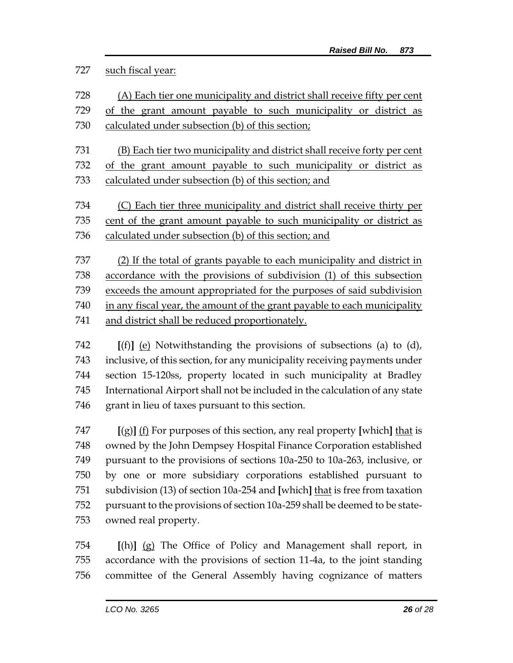# such fiscal year:

| 728 | (A) Each tier one municipality and district shall receive fifty per cent |  |
|-----|--------------------------------------------------------------------------|--|
| 729 | of the grant amount payable to such municipality or district as          |  |
| 730 | calculated under subsection (b) of this section;                         |  |
|     |                                                                          |  |
| 731 | (B) Each tier two municipality and district shall receive forty per cent |  |
| 732 | of the grant amount payable to such municipality or district as          |  |
| 733 | calculated under subsection (b) of this section; and                     |  |
|     |                                                                          |  |
| 734 | (C) Each tier three municipality and district shall receive thirty per   |  |
| 735 | cent of the grant amount payable to such municipality or district as     |  |
| 736 | calculated under subsection (b) of this section; and                     |  |
|     |                                                                          |  |
| 737 | (2) If the total of grants payable to each municipality and district in  |  |
| 738 | accordance with the provisions of subdivision (1) of this subsection     |  |
| 739 | exceeds the amount appropriated for the purposes of said subdivision     |  |
| 740 | in any fiscal year, the amount of the grant payable to each municipality |  |
| 741 | and district shall be reduced proportionately.                           |  |
|     |                                                                          |  |
| 742 | $[f(f)]$ (a) Notwithetending the provisions of subsections (a) to $(d)$  |  |

 **[(f)]** (e) Notwithstanding the provisions of subsections (a) to (d), inclusive, of this section, for any municipality receiving payments under section 15-120ss, property located in such municipality at Bradley International Airport shall not be included in the calculation of any state grant in lieu of taxes pursuant to this section.

 **[**(g)**]** (f) For purposes of this section, any real property **[**which**]** that is owned by the John Dempsey Hospital Finance Corporation established pursuant to the provisions of sections 10a-250 to 10a-263, inclusive, or by one or more subsidiary corporations established pursuant to subdivision (13) of section 10a-254 and **[**which**]** that is free from taxation pursuant to the provisions of section 10a-259 shall be deemed to be state-owned real property.

 **[**(h)**]** (g) The Office of Policy and Management shall report, in accordance with the provisions of section 11-4a, to the joint standing committee of the General Assembly having cognizance of matters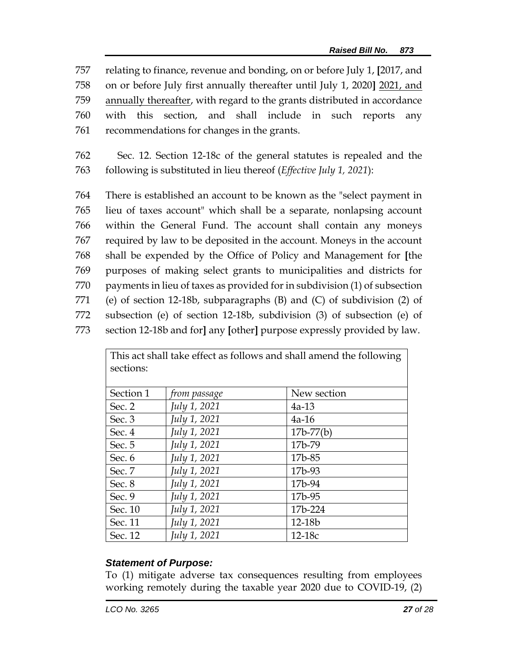relating to finance, revenue and bonding, on or before July 1, **[**2017, and on or before July first annually thereafter until July 1, 2020**]** 2021, and annually thereafter, with regard to the grants distributed in accordance with this section, and shall include in such reports any recommendations for changes in the grants.

762 Sec. 12. Section 12-18c of the general statutes is repealed and the 763 following is substituted in lieu thereof (*Effective July 1, 2021*):

 There is established an account to be known as the "select payment in lieu of taxes account" which shall be a separate, nonlapsing account within the General Fund. The account shall contain any moneys required by law to be deposited in the account. Moneys in the account shall be expended by the Office of Policy and Management for **[**the purposes of making select grants to municipalities and districts for payments in lieu of taxes as provided for in subdivision (1) of subsection (e) of section 12-18b, subparagraphs (B) and (C) of subdivision (2) of subsection (e) of section 12-18b, subdivision (3) of subsection (e) of section 12-18b and for**]** any **[**other**]** purpose expressly provided by law.

| This act shall take effect as follows and shall amend the following<br>sections: |              |               |
|----------------------------------------------------------------------------------|--------------|---------------|
| Section 1                                                                        | from passage | New section   |
| Sec. 2                                                                           | July 1, 2021 | $4a-13$       |
| Sec. 3                                                                           | July 1, 2021 | $4a-16$       |
| Sec. 4                                                                           | July 1, 2021 | $17b - 77(b)$ |
| Sec. 5                                                                           | July 1, 2021 | 17b-79        |
| Sec. $6$                                                                         | July 1, 2021 | 17b-85        |
| Sec. 7                                                                           | July 1, 2021 | 17b-93        |
| Sec. 8                                                                           | July 1, 2021 | 17b-94        |
| Sec. 9                                                                           | July 1, 2021 | 17b-95        |
| Sec. 10                                                                          | July 1, 2021 | 17b-224       |
| Sec. 11                                                                          | July 1, 2021 | 12-18b        |
| Sec. 12                                                                          | July 1, 2021 | $12-18c$      |

## *Statement of Purpose:*

To (1) mitigate adverse tax consequences resulting from employees working remotely during the taxable year 2020 due to COVID-19, (2)